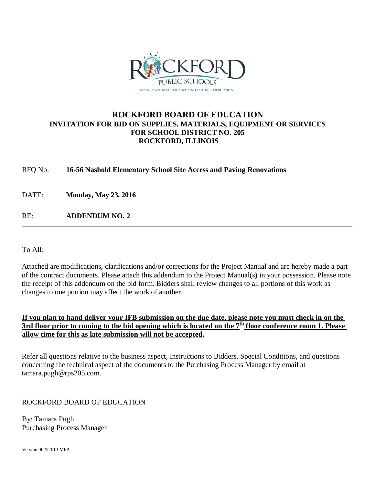

# **ROCKFORD BOARD OF EDUCATION INVITATION FOR BID ON SUPPLIES, MATERIALS, EQUIPMENT OR SERVICES FOR SCHOOL DISTRICT NO. 205 ROCKFORD, ILLINOIS**

# RFQ No. **16-56 Nashold Elementary School Site Access and Paving Renovations**

DATE: **Monday, May 23, 2016**

RE: **ADDENDUM NO. 2**

To All:

Attached are modifications, clarifications and/or corrections for the Project Manual and are hereby made a part of the contract documents. Please attach this addendum to the Project Manual(s) in your possession. Please note the receipt of this addendum on the bid form. Bidders shall review changes to all portions of this work as changes to one portion may affect the work of another.

# **If you plan to hand deliver your IFB submission on the due date, please note you must check in on the 3rd floor prior to coming to the bid opening which is located on the**  $7<sup>th</sup>$  **floor conference room 1. Please allow time for this as late submission will not be accepted.**

Refer all questions relative to the business aspect, Instructions to Bidders, Special Conditions, and questions concerning the technical aspect of the documents to the Purchasing Process Manager by email at tamara.pugh@rps205.com.

# ROCKFORD BOARD OF EDUCATION

By: Tamara Pugh Purchasing Process Manager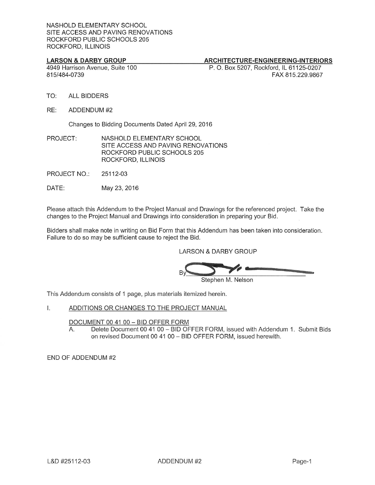## **LARSON & DARBY GROUP**

# ARCHITECTURE-ENGINEERING-INTERIORS

4949 Harrison Avenue, Suite 100 815/484-0739

P. O. Box 5207, Rockford, IL 61125-0207 FAX 815.229.9867

- $TO:$ **ALL BIDDERS**
- RE: ADDENDUM #2

Changes to Bidding Documents Dated April 29, 2016

- PROJECT: NASHOLD ELEMENTARY SCHOOL SITE ACCESS AND PAVING RENOVATIONS ROCKFORD PUBLIC SCHOOLS 205 ROCKFORD, ILLINOIS
- **PROJECT NO.:** 25112-03
- DATE: May 23, 2016

Please attach this Addendum to the Project Manual and Drawings for the referenced project. Take the changes to the Project Manual and Drawings into consideration in preparing your Bid.

Bidders shall make note in writing on Bid Form that this Addendum has been taken into consideration. Failure to do so may be sufficient cause to reject the Bid.

**LARSON & DARBY GROUP** 

Stephen M. Nelson

This Addendum consists of 1 page, plus materials itemized herein.

#### $\mathbf{L}$ ADDITIONS OR CHANGES TO THE PROJECT MANUAL

#### DOCUMENT 00 41 00 - BID OFFER FORM

Delete Document 00 41 00 - BID OFFER FORM, issued with Addendum 1. Submit Bids Α. on revised Document 00 41 00 - BID OFFER FORM, issued herewith.

END OF ADDENDUM #2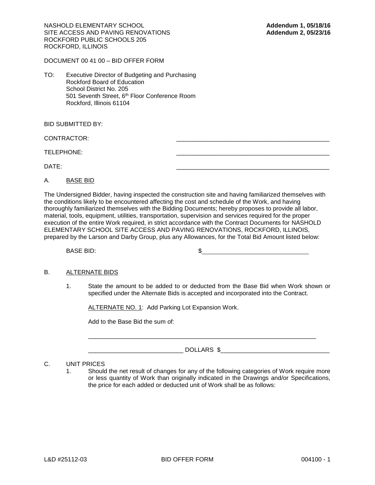NASHOLD ELEMENTARY SCHOOL **Addendum 1, 05/18/16** SITE ACCESS AND PAVING RENOVATIONS **Addendum 2, 05/23/16** ROCKFORD PUBLIC SCHOOLS 205 ROCKFORD, ILLINOIS

DOCUMENT 00 41 00 – BID OFFER FORM

TO: Executive Director of Budgeting and Purchasing Rockford Board of Education School District No. 205 501 Seventh Street, 6<sup>th</sup> Floor Conference Room Rockford, Illinois 61104

BID SUBMITTED BY:

CONTRACTOR:

TELEPHONE:

DATE: \_\_\_\_\_\_\_\_\_\_\_\_\_\_\_\_\_\_\_\_\_\_\_\_\_\_\_\_\_\_\_\_\_\_\_\_\_\_\_\_\_\_\_\_\_

### A. BASE BID

The Undersigned Bidder, having inspected the construction site and having familiarized themselves with the conditions likely to be encountered affecting the cost and schedule of the Work, and having thoroughly familiarized themselves with the Bidding Documents; hereby proposes to provide all labor, material, tools, equipment, utilities, transportation, supervision and services required for the proper execution of the entire Work required, in strict accordance with the Contract Documents for NASHOLD ELEMENTARY SCHOOL SITE ACCESS AND PAVING RENOVATIONS, ROCKFORD, ILLINOIS, prepared by the Larson and Darby Group, plus any Allowances, for the Total Bid Amount listed below:

BASE BID:  $$$ 

### B. ALTERNATE BIDS

1. State the amount to be added to or deducted from the Base Bid when Work shown or specified under the Alternate Bids is accepted and incorporated into the Contract.

ALTERNATE NO. 1: Add Parking Lot Expansion Work.

Add to the Base Bid the sum of:

\_\_\_\_\_\_\_\_\_\_\_\_\_\_\_\_\_\_\_\_\_\_\_\_\_\_\_\_ DOLLARS \$\_\_\_\_\_\_\_\_\_\_\_\_\_\_\_\_\_\_\_\_\_\_\_\_\_\_\_\_\_\_\_\_

 $\overline{\phantom{a}}$  ,  $\overline{\phantom{a}}$  ,  $\overline{\phantom{a}}$  ,  $\overline{\phantom{a}}$  ,  $\overline{\phantom{a}}$  ,  $\overline{\phantom{a}}$  ,  $\overline{\phantom{a}}$  ,  $\overline{\phantom{a}}$  ,  $\overline{\phantom{a}}$  ,  $\overline{\phantom{a}}$  ,  $\overline{\phantom{a}}$  ,  $\overline{\phantom{a}}$  ,  $\overline{\phantom{a}}$  ,  $\overline{\phantom{a}}$  ,  $\overline{\phantom{a}}$  ,  $\overline{\phantom{a}}$ 

# C. UNIT PRICES

1. Should the net result of changes for any of the following categories of Work require more or less quantity of Work than originally indicated in the Drawings and/or Specifications, the price for each added or deducted unit of Work shall be as follows: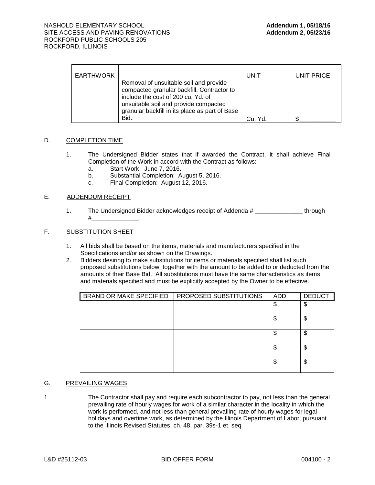| <b>EARTHWORK</b> |                                                                                                                                                                                                                               | UNIT    | UNIT PRICE |
|------------------|-------------------------------------------------------------------------------------------------------------------------------------------------------------------------------------------------------------------------------|---------|------------|
|                  | Removal of unsuitable soil and provide<br>compacted granular backfill, Contractor to<br>include the cost of 200 cu. Yd. of<br>unsuitable soil and provide compacted<br>granular backfill in its place as part of Base<br>Bid. | Cu. Yd. |            |

## D. COMPLETION TIME

- 1. The Undersigned Bidder states that if awarded the Contract, it shall achieve Final Completion of the Work in accord with the Contract as follows:
	- a. Start Work: June 7, 2016.
	- b. Substantial Completion: August 5, 2016.
	- c. Final Completion: August 12, 2016.

# E. ADDENDUM RECEIPT

1. The Undersigned Bidder acknowledges receipt of Addenda # \_\_\_\_\_\_\_\_\_\_\_\_\_\_ through  $\#$ 

# F. SUBSTITUTION SHEET

- 1. All bids shall be based on the items, materials and manufacturers specified in the Specifications and/or as shown on the Drawings.
- 2. Bidders desiring to make substitutions for items or materials specified shall list such proposed substitutions below, together with the amount to be added to or deducted from the amounts of their Base Bid. All substitutions must have the same characteristics as items and materials specified and must be explicitly accepted by the Owner to be effective.

| BRAND OR MAKE SPECIFIED | PROPOSED SUBSTITUTIONS | ADD | <b>DEDUCT</b> |
|-------------------------|------------------------|-----|---------------|
|                         |                        | \$  | \$            |
|                         |                        | \$  | \$            |
|                         |                        | \$  | \$            |
|                         |                        | \$  | \$            |
|                         |                        | \$  | \$            |

#### G. PREVAILING WAGES

1. The Contractor shall pay and require each subcontractor to pay, not less than the general prevailing rate of hourly wages for work of a similar character in the locality in which the work is performed, and not less than general prevailing rate of hourly wages for legal holidays and overtime work, as determined by the Illinois Department of Labor, pursuant to the Illinois Revised Statutes, ch. 48, par. 39s-1 et. seq.